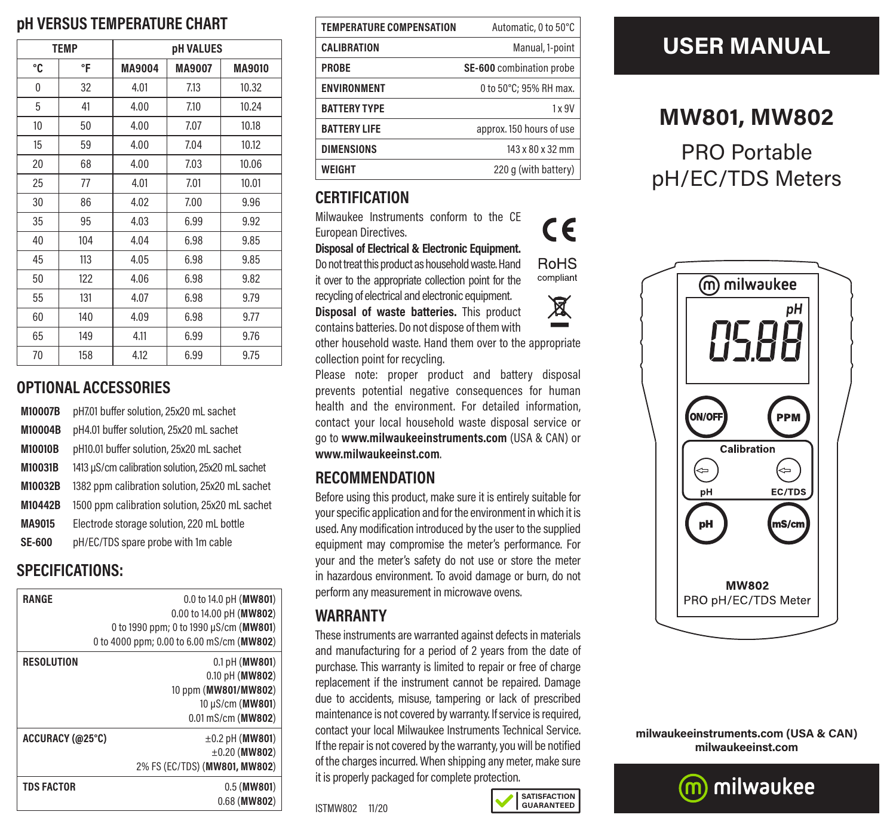## **pH VERSUS TEMPERATURE CHART**

| <b>TEMP</b>      |     | <b>pH VALUES</b> |               |               |
|------------------|-----|------------------|---------------|---------------|
| °C               | °F  | MA9004           | <b>MA9007</b> | <b>MA9010</b> |
| 0                | 32  | 4.01             | 7.13          | 10.32         |
| 5                | 41  | 4.00             | 7.10          | 10.24         |
| 10 <sup>10</sup> | 50  | 4.00             | 7.07          | 10.18         |
| 15               | 59  | 4.00             | 7.04          | 10.12         |
| 20               | 68  | 4.00             | 7.03          | 10.06         |
| 25               | 77  | 4.01             | 7.01          | 10.01         |
| 30               | 86  | 4.02             | 7.00          | 9.96          |
| 35               | 95  | 4.03             | 6.99          | 9.92          |
| 40               | 104 | 4.04             | 6.98          | 9.85          |
| 45               | 113 | 4.05             | 6.98          | 9.85          |
| 50               | 122 | 4.06             | 6.98          | 9.82          |
| 55               | 131 | 4.07             | 6.98          | 9.79          |
| 60               | 140 | 4.09             | 6.98          | 9.77          |
| 65               | 149 | 4.11             | 6.99          | 9.76          |
| 70               | 158 | 4.12             | 6.99          | 9.75          |

#### **OPTIONAL ACCESSORIES**

| M10007B        | pH7.01 buffer solution, 25x20 mL sachet          |
|----------------|--------------------------------------------------|
| M10004B        | pH4.01 buffer solution, 25x20 mL sachet          |
| <b>M10010B</b> | pH10.01 buffer solution, 25x20 mL sachet         |
| M10031B        | 1413 µS/cm calibration solution, 25x20 mL sachet |
| M10032B        | 1382 ppm calibration solution, 25x20 mL sachet   |
| M10442B        | 1500 ppm calibration solution, 25x20 mL sachet   |
| MA9015         | Electrode storage solution, 220 mL bottle        |
| <b>SE-600</b>  | pH/EC/TDS spare probe with 1m cable              |

## **SPECIFICATIONS:**

| RANGE             | 0.0 to 14.0 pH ( $MW801$ )                |
|-------------------|-------------------------------------------|
|                   | 0.00 to 14.00 pH (MW802)                  |
|                   | 0 to 1990 ppm; 0 to 1990 µS/cm (MW801)    |
|                   | 0 to 4000 ppm; 0.00 to 6.00 mS/cm (MW802) |
| <b>RESOLUTION</b> | $0.1$ pH (MW801)                          |
|                   | 0.10 pH (MW802)                           |
|                   | 10 ppm (MW801/MW802)                      |
|                   | 10 µS/cm (MW801)                          |
|                   | $0.01$ mS/cm ( $WW802$ )                  |
| ACCURACY (@25°C)  | $\pm 0.2$ pH (MW801)                      |
|                   | $\pm 0.20$ (MW802)                        |
|                   | 2% FS (EC/TDS) (MW801, MW802)             |
| <b>TDS FACTOR</b> | $0.5$ (MW801)                             |
|                   | $0.68$ (MW802)                            |

| <b>TEMPERATURE COMPENSATION</b> | Automatic, 0 to 50°C     |
|---------------------------------|--------------------------|
| <b>CALIBRATION</b>              | Manual, 1-point          |
| <b>PROBE</b>                    | SE-600 combination probe |
| <b>ENVIRONMENT</b>              | 0 to 50°C: 95% RH max.   |
| <b>BATTERY TYPE</b>             | $1 \times 9V$            |
| <b>BATTERY LIFE</b>             | approx. 150 hours of use |
| <b>DIMENSIONS</b>               | 143 x 80 x 32 mm         |
| WEIGHT                          | 220 q (with battery)     |

## **CERTIFICATION**

Milwaukee Instruments conform to the CE European Directives.

**Disposal of Electrical & Electronic Equipment.**

Do not treat this product as household waste. Hand it over to the appropriate collection point for the

recycling of electrical and electronic equipment. **Disposal of waste batteries.** This product contains batteries. Do not dispose of them with

other household waste. Hand them over to the appropriate collection point for recycling.

Please note: proper product and battery disposal prevents potential negative consequences for human health and the environment. For detailed information, contact your local household waste disposal service or go to **www.milwaukeeinstruments.com** (USA & CAN) or **www.milwaukeeinst.com**.

## **RECOMMENDATION**

Before using this product, make sure it is entirely suitable for your specific application and for the environment in which it is used. Any modification introduced by the user to the supplied equipment may compromise the meter's performance. For your and the meter's safety do not use or store the meter in hazardous environment. To avoid damage or burn, do not perform any measurement in microwave ovens.

#### **WARRANTY**

These instruments are warranted against defects in materials and manufacturing for a period of 2 years from the date of purchase. This warranty is limited to repair or free of charge replacement if the instrument cannot be repaired. Damage due to accidents, misuse, tampering or lack of prescribed maintenance is not covered by warranty. If service is required, contact your local Milwaukee Instruments Technical Service. If the repair is not covered by the warranty, you will be notified of the charges incurred. When shipping any meter, make sure it is properly packaged for complete protection.

ISTMW802 11/20

# **USER MANUAL**

## **MW801, MW802**

PRO Portable pH/EC/TDS Meters



**milwaukeeinstruments.com (USA & CAN) milwaukeeinst.com**







**SATISFACTION GUARANTEED**